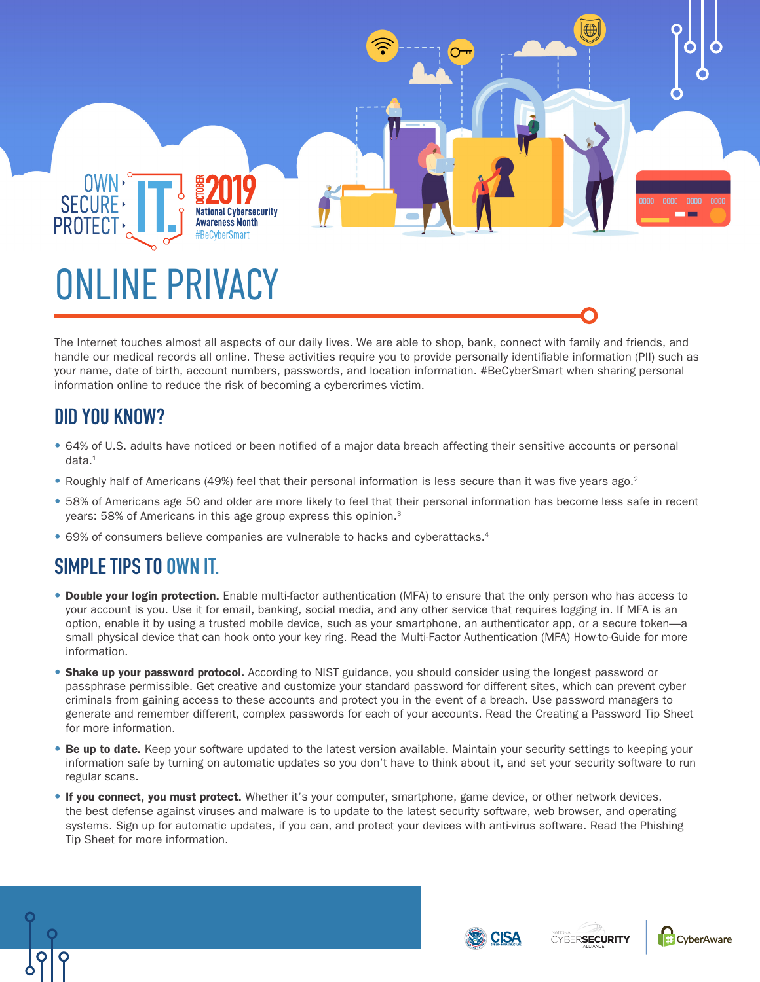

The Internet touches almost all aspects of our daily lives. We are able to shop, bank, connect with family and friends, and handle our medical records all online. These activities require you to provide personally identifiable information (PII) such as your name, date of birth, account numbers, passwords, and location information. #BeCyberSmart when sharing personal information online to reduce the risk of becoming a cybercrimes victim.

## **DID YOU KNOW?**

- 64% of U.S. adults have noticed or been notified of a major data breach affecting their sensitive accounts or personal data.1
- Roughly half of Americans (49%) feel that their personal information is less secure than it was five years ago.<sup>2</sup>
- 58% of Americans age 50 and older are more likely to feel that their personal information has become less safe in recent years: 58% of Americans in this age group express this opinion.<sup>3</sup>
- 69% of consumers believe companies are vulnerable to hacks and cyberattacks.4

## **SIMPLE TIPS TO OWN IT.**

- **•** Double your login protection. Enable multi-factor authentication (MFA) to ensure that the only person who has access to your account is you. Use it for email, banking, social media, and any other service that requires logging in. If MFA is an option, enable it by using a trusted mobile device, such as your smartphone, an authenticator app, or a secure token—a small physical device that can hook onto your key ring. Read the Multi-Factor Authentication (MFA) How-to-Guide for more information.
- **•** Shake up your password protocol. According to NIST guidance, you should consider using the longest password or passphrase permissible. Get creative and customize your standard password for different sites, which can prevent cyber criminals from gaining access to these accounts and protect you in the event of a breach. Use password managers to generate and remember different, complex passwords for each of your accounts. Read the Creating a Password Tip Sheet for more information.
- **•** Be up to date. Keep your software updated to the latest version available. Maintain your security settings to keeping your information safe by turning on automatic updates so you don't have to think about it, and set your security software to run regular scans.
- **•** If you connect, you must protect. Whether it's your computer, smartphone, game device, or other network devices, the best defense against viruses and malware is to update to the latest security software, web browser, and operating systems. Sign up for automatic updates, if you can, and protect your devices with anti-virus software. Read the Phishing Tip Sheet for more information.